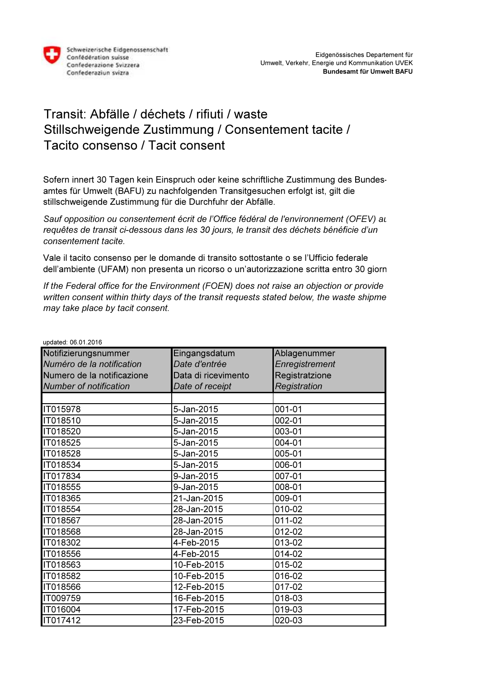

## Transit: Abfälle / déchets / rifiuti / waste Stillschweigende Zustimmung / Consentement tacite / Tacito consenso / Tacit consent

Sofern innert 30 Tagen kein Einspruch oder keine schriftliche Zustimmung des Bundesamtes für Umwelt (BAFU) zu nachfolgenden Transitgesuchen erfolgt ist, gilt die stillschweigende Zustimmung für die Durchfuhr der Abfälle.

Sauf opposition ou consentement écrit de l'Office fédéral de l'environnement (OFEV) au requêtes de transit ci-dessous dans les 30 jours, le transit des déchets bénéficie d'un consentement tacite.

Vale il tacito consenso per le domande di transito sottostante o se l'Ufficio federale dell'ambiente (UFAM) non presenta un ricorso o un'autorizzazione scritta entro 30 giorni

If the Federal office for the Environment (FOEN) does not raise an objection or provide written consent within thirty days of the transit requests stated below, the waste shipme may take place by tacit consent.

| upuated. 00.01.2010           |                     |                |
|-------------------------------|---------------------|----------------|
| Notifizierungsnummer          | Eingangsdatum       | Ablagenummer   |
| Numéro de la notification     | Date d'entrée       | Enregistrement |
| Numero de la notificazione    | Data di ricevimento | Registratzione |
| <b>Number of notification</b> | Date of receipt     | Registration   |
|                               |                     |                |
| IT015978                      | 5-Jan-2015          | 001-01         |
| IT018510                      | 5-Jan-2015          | 002-01         |
| IT018520                      | 5-Jan-2015          | 003-01         |
| IT018525                      | 5-Jan-2015          | 004-01         |
| IT018528                      | 5-Jan-2015          | 005-01         |
| IT018534                      | 5-Jan-2015          | 006-01         |
| IT017834                      | 9-Jan-2015          | 007-01         |
| IT018555                      | 9-Jan-2015          | 008-01         |
| IT018365                      | 21-Jan-2015         | 009-01         |
| IT018554                      | 28-Jan-2015         | 010-02         |
| IT018567                      | 28-Jan-2015         | 011-02         |
| IT018568                      | 28-Jan-2015         | 012-02         |
| IT018302                      | 4-Feb-2015          | 013-02         |
| IT018556                      | 4-Feb-2015          | 014-02         |
| IT018563                      | 10-Feb-2015         | 015-02         |
| IT018582                      | 10-Feb-2015         | 016-02         |
| IT018566                      | 12-Feb-2015         | 017-02         |
| IT009759                      | 16-Feb-2015         | 018-03         |
| IT016004                      | 17-Feb-2015         | 019-03         |
| IT017412                      | 23-Feb-2015         | 020-03         |

updated: 06.01.2016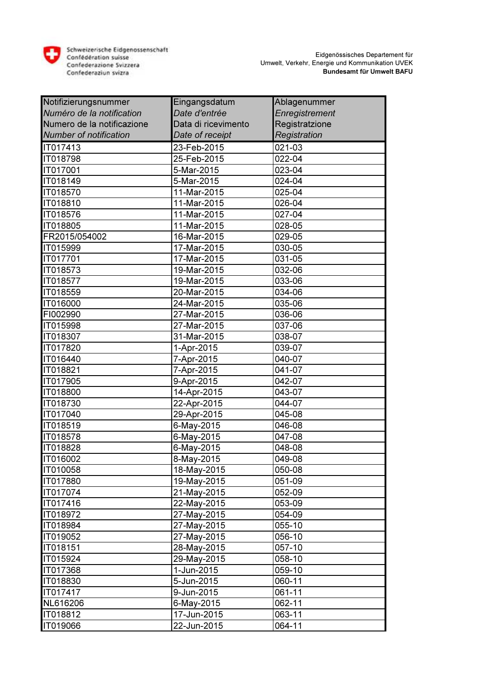

Schweizerische Eidgenossenschaft Confederation suisse<br>Confederazione Svizzera<br>Confederazione Svizzera

| Notifizierungsnummer          | Eingangsdatum       | Ablagenummer   |
|-------------------------------|---------------------|----------------|
| Numéro de la notification     | Date d'entrée       | Enregistrement |
| Numero de la notificazione    | Data di ricevimento | Registratzione |
| <b>Number of notification</b> | Date of receipt     | Registration   |
| IT017413                      | 23-Feb-2015         | 021-03         |
| IT018798                      | 25-Feb-2015         | 022-04         |
| IT017001                      | 5-Mar-2015          | 023-04         |
| IT018149                      | 5-Mar-2015          | 024-04         |
| IT018570                      | 11-Mar-2015         | 025-04         |
| IT018810                      | 11-Mar-2015         | 026-04         |
| IT018576                      | 11-Mar-2015         | 027-04         |
| IT018805                      | 11-Mar-2015         | 028-05         |
| FR2015/054002                 | 16-Mar-2015         | 029-05         |
| IT015999                      | 17-Mar-2015         | 030-05         |
| IT017701                      | 17-Mar-2015         | 031-05         |
| IT018573                      | 19-Mar-2015         | 032-06         |
| IT018577                      | 19-Mar-2015         | 033-06         |
| IT018559                      | 20-Mar-2015         | 034-06         |
| IT016000                      | 24-Mar-2015         | 035-06         |
| FI002990                      | 27-Mar-2015         | 036-06         |
| IT015998                      | 27-Mar-2015         | 037-06         |
| IT018307                      | 31-Mar-2015         | 038-07         |
| IT017820                      | 1-Apr-2015          | 039-07         |
| IT016440                      | 7-Apr-2015          | 040-07         |
| IT018821                      | 7-Apr-2015          | 041-07         |
| IT017905                      | 9-Apr-2015          | 042-07         |
| IT018800                      | 14-Apr-2015         | 043-07         |
| IT018730                      | 22-Apr-2015         | 044-07         |
| IT017040                      | 29-Apr-2015         | 045-08         |
| IT018519                      | 6-May-2015          | 046-08         |
| IT018578                      | 6-May-2015          | 047-08         |
| IT018828                      | 6-May-2015          | 048-08         |
| IT016002                      | 8-May-2015          | 049-08         |
| <b>IT010058</b>               | 18-May-2015         | 050-08         |
| <b>IT017880</b>               | 19-May-2015         | 051-09         |
| <b>IT017074</b>               | 21-May-2015         | 052-09         |
| <b>IT017416</b>               | 22-May-2015         | 053-09         |
| IT018972                      | 27-May-2015         | 054-09         |
| IT018984                      | 27-May-2015         | 055-10         |
| IT019052                      | 27-May-2015         | 056-10         |
| <b>IT018151</b>               | 28-May-2015         | 057-10         |
| <b>IT015924</b>               | 29-May-2015         | 058-10         |
| IT017368                      | 1-Jun-2015          | 059-10         |
| IT018830                      | 5-Jun-2015          | 060-11         |
| IT017417                      | 9-Jun-2015          | 061-11         |
| NL616206                      | 6-May-2015          | 062-11         |
| IT018812                      | 17-Jun-2015         | 063-11         |
| IT019066                      | 22-Jun-2015         | 064-11         |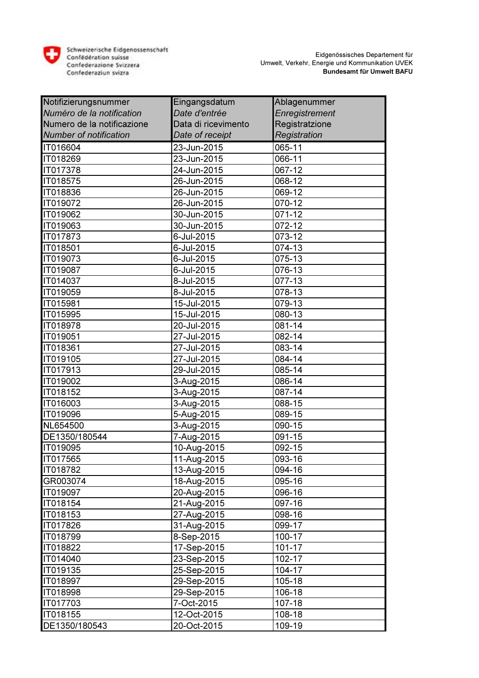

Schweizerische Eidgenossenschaft Confederation suisse<br>Confederazione Svizzera<br>Confederazione Svizzera

| Notifizierungsnummer          | Eingangsdatum       | Ablagenummer   |
|-------------------------------|---------------------|----------------|
| Numéro de la notification     | Date d'entrée       | Enregistrement |
| Numero de la notificazione    | Data di ricevimento | Registratzione |
| <b>Number of notification</b> | Date of receipt     | Registration   |
| IT016604                      | 23-Jun-2015         | 065-11         |
| IT018269                      | 23-Jun-2015         | 066-11         |
| IT017378                      | 24-Jun-2015         | 067-12         |
| IT018575                      | 26-Jun-2015         | 068-12         |
| IT018836                      | 26-Jun-2015         | 069-12         |
| IT019072                      | 26-Jun-2015         | 070-12         |
| IT019062                      | 30-Jun-2015         | 071-12         |
| IT019063                      | 30-Jun-2015         | 072-12         |
| IT017873                      | 6-Jul-2015          | 073-12         |
| IT018501                      | 6-Jul-2015          | $074 - 13$     |
| IT019073                      | 6-Jul-2015          | 075-13         |
| IT019087                      | 6-Jul-2015          | 076-13         |
| IT014037                      | 8-Jul-2015          | 077-13         |
| IT019059                      | 8-Jul-2015          | 078-13         |
| IT015981                      | 15-Jul-2015         | 079-13         |
| IT015995                      | 15-Jul-2015         | 080-13         |
| IT018978                      | 20-Jul-2015         | 081-14         |
| IT019051                      | 27-Jul-2015         | 082-14         |
| IT018361                      | 27-Jul-2015         | 083-14         |
| IT019105                      | 27-Jul-2015         | 084-14         |
| IT017913                      | 29-Jul-2015         | 085-14         |
| IT019002                      | 3-Aug-2015          | 086-14         |
| IT018152                      | 3-Aug-2015          | 087-14         |
| IT016003                      | 3-Aug-2015          | 088-15         |
| IT019096                      | 5-Aug-2015          | 089-15         |
| NL654500                      | 3-Aug-2015          | 090-15         |
| DE1350/180544                 | 7-Aug-2015          | 091-15         |
| IT019095                      | 10-Aug-2015         | 092-15         |
| IT017565                      | 11-Aug-2015         | 093-16         |
| IT018782                      | 13-Aug-2015         | 094-16         |
| GR003074                      | 18-Aug-2015         | 095-16         |
| <b>IT019097</b>               | 20-Aug-2015         | 096-16         |
| <b>IT018154</b>               | 21-Aug-2015         | 097-16         |
| IT018153                      | 27-Aug-2015         | 098-16         |
| IT017826                      | 31-Aug-2015         | 099-17         |
| IT018799                      | 8-Sep-2015          | 100-17         |
| IT018822                      | 17-Sep-2015         | 101-17         |
| <b>IT014040</b>               | 23-Sep-2015         | 102-17         |
| IT019135                      | 25-Sep-2015         | 104-17         |
| IT018997                      | 29-Sep-2015         | 105-18         |
| IT018998                      | 29-Sep-2015         | 106-18         |
| IT017703                      | 7-Oct-2015          | 107-18         |
| IT018155                      | 12-Oct-2015         | 108-18         |
| DE1350/180543                 | 20-Oct-2015         | 109-19         |